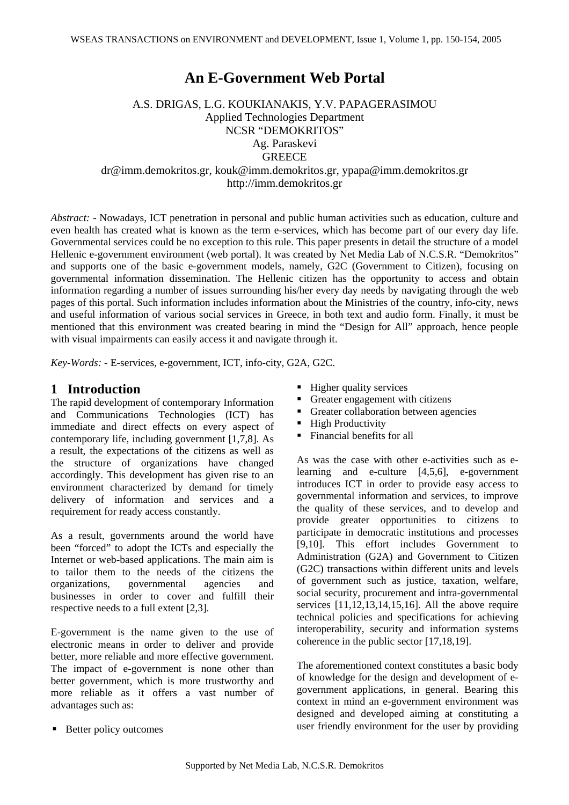# **An E-Government Web Portal**

## A.S. DRIGAS, L.G. KOUKIANAKIS, Y.V. PAPAGERASIMOU Applied Technologies Department NCSR "DEMOKRITOS" Ag. Paraskevi **GREECE** dr@imm.demokritos.gr, kouk@imm.demokritos.gr, ypapa@imm.demokritos.gr

http://imm.demokritos.gr

*Abstract: -* Nowadays, ICT penetration in personal and public human activities such as education, culture and even health has created what is known as the term e-services, which has become part of our every day life. Governmental services could be no exception to this rule. This paper presents in detail the structure of a model Hellenic e-government environment (web portal). It was created by Net Media Lab of N.C.S.R. "Demokritos" and supports one of the basic e-government models, namely, G2C (Government to Citizen), focusing on governmental information dissemination. The Hellenic citizen has the opportunity to access and obtain information regarding a number of issues surrounding his/her every day needs by navigating through the web pages of this portal. Such information includes information about the Ministries of the country, info-city, news and useful information of various social services in Greece, in both text and audio form. Finally, it must be mentioned that this environment was created bearing in mind the "Design for All" approach, hence people with visual impairments can easily access it and navigate through it.

*Key-Words: -* E-services, e-government, ICT, info-city, G2A, G2C.

## **1 Introduction**

The rapid development of contemporary Information and Communications Technologies (ICT) has immediate and direct effects on every aspect of contemporary life, including government [1,7,8]. As a result, the expectations of the citizens as well as the structure of organizations have changed accordingly. This development has given rise to an environment characterized by demand for timely delivery of information and services and a requirement for ready access constantly.

As a result, governments around the world have been "forced" to adopt the ICTs and especially the Internet or web-based applications. The main aim is to tailor them to the needs of the citizens the organizations, governmental agencies and businesses in order to cover and fulfill their respective needs to a full extent [2,3].

E-government is the name given to the use of electronic means in order to deliver and provide better, more reliable and more effective government. The impact of e-government is none other than better government, which is more trustworthy and more reliable as it offers a vast number of advantages such as:

- Higher quality services
- Greater engagement with citizens
- Greater collaboration between agencies
- High Productivity
- Financial benefits for all

As was the case with other e-activities such as elearning and e-culture [4,5,6], e-government introduces ICT in order to provide easy access to governmental information and services, to improve the quality of these services, and to develop and provide greater opportunities to citizens to participate in democratic institutions and processes [9,10]. This effort includes Government to Administration (G2A) and Government to Citizen (G2C) transactions within different units and levels of government such as justice, taxation, welfare, social security, procurement and intra-governmental services  $[11, 12, 13, 14, 15, 16]$ . All the above require technical policies and specifications for achieving interoperability, security and information systems coherence in the public sector [17,18,19].

The aforementioned context constitutes a basic body of knowledge for the design and development of egovernment applications, in general. Bearing this context in mind an e-government environment was designed and developed aiming at constituting a user friendly environment for the user by providing

■ Better policy outcomes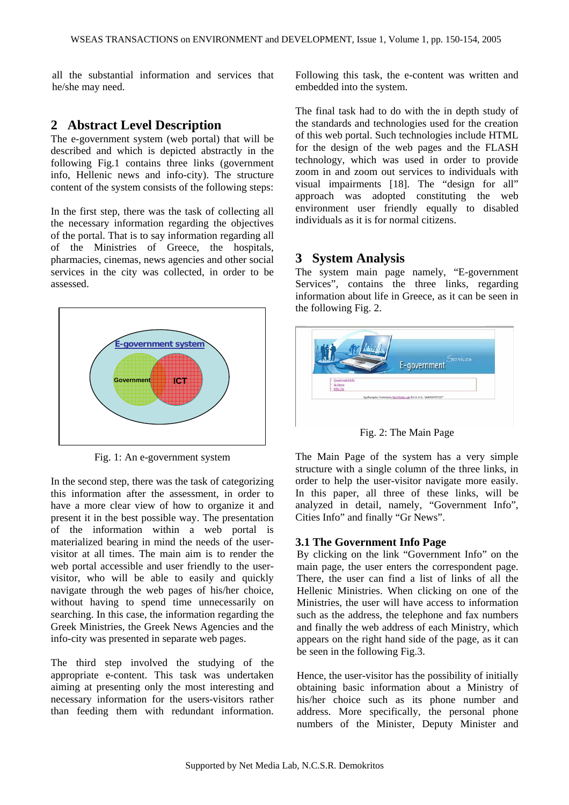all the substantial information and services that he/she may need.

## **2 Abstract Level Description**

The e-government system (web portal) that will be described and which is depicted abstractly in the following Fig.1 contains three links (government info, Hellenic news and info-city). The structure content of the system consists of the following steps:

In the first step, there was the task of collecting all the necessary information regarding the objectives of the portal. That is to say information regarding all of the Ministries of Greece, the hospitals, pharmacies, cinemas, news agencies and other social services in the city was collected, in order to be assessed.



Fig. 1: An e-government system

In the second step, there was the task of categorizing this information after the assessment, in order to have a more clear view of how to organize it and present it in the best possible way. The presentation of the information within a web portal is materialized bearing in mind the needs of the uservisitor at all times. The main aim is to render the web portal accessible and user friendly to the uservisitor, who will be able to easily and quickly navigate through the web pages of his/her choice, without having to spend time unnecessarily on searching. In this case, the information regarding the Greek Ministries, the Greek News Agencies and the info-city was presented in separate web pages.

The third step involved the studying of the appropriate e-content. This task was undertaken aiming at presenting only the most interesting and necessary information for the users-visitors rather than feeding them with redundant information. Following this task, the e-content was written and embedded into the system.

The final task had to do with the in depth study of the standards and technologies used for the creation of this web portal. Such technologies include HTML for the design of the web pages and the FLASH technology, which was used in order to provide zoom in and zoom out services to individuals with visual impairments [18]. The "design for all" approach was adopted constituting the web environment user friendly equally to disabled individuals as it is for normal citizens.

## **3 System Analysis**

The system main page namely, "E-government Services", contains the three links, regarding information about life in Greece, as it can be seen in the following Fig. 2.



Fig. 2: The Main Page

The Main Page of the system has a very simple structure with a single column of the three links, in order to help the user-visitor navigate more easily. In this paper, all three of these links, will be analyzed in detail, namely, "Government Info", Cities Info" and finally "Gr News".

#### **3.1 The Government Info Page**

By clicking on the link "Government Info" on the main page, the user enters the correspondent page. There, the user can find a list of links of all the Hellenic Ministries. When clicking on one of the Ministries, the user will have access to information such as the address, the telephone and fax numbers and finally the web address of each Ministry, which appears on the right hand side of the page, as it can be seen in the following Fig.3.

Hence, the user-visitor has the possibility of initially obtaining basic information about a Ministry of his/her choice such as its phone number and address. More specifically, the personal phone numbers of the Minister, Deputy Minister and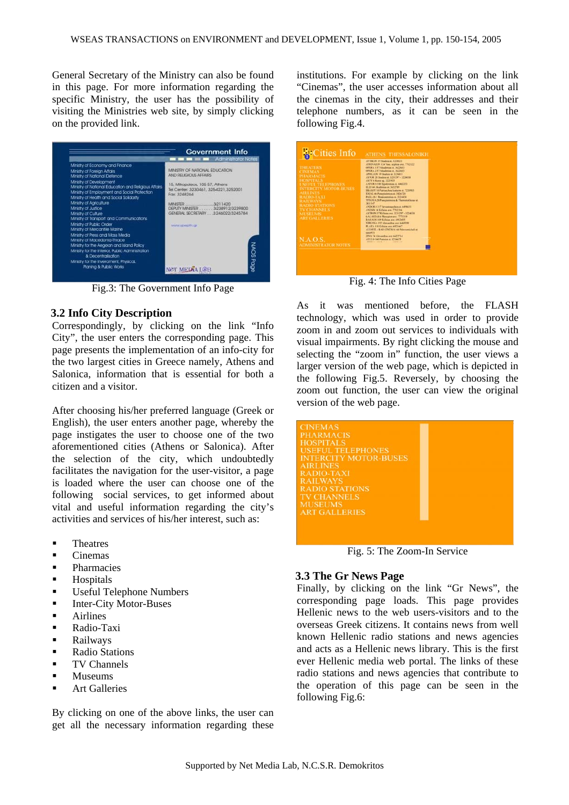General Secretary of the Ministry can also be found in this page. For more information regarding the specific Ministry, the user has the possibility of visiting the Ministries web site, by simply clicking on the provided link.

|                                                                                                                                                                                                                                                                                                                                                                                                                                 | Government Info<br>Administrator Notes                                                                                                                                                                                                           |  |
|---------------------------------------------------------------------------------------------------------------------------------------------------------------------------------------------------------------------------------------------------------------------------------------------------------------------------------------------------------------------------------------------------------------------------------|--------------------------------------------------------------------------------------------------------------------------------------------------------------------------------------------------------------------------------------------------|--|
| Ministry of Economy and Finance<br>Ministry of Foreign Affairs<br>Ministry of National Defence<br>Ministry of Development<br>Ministry of National Education and Religious Affairs.<br>Ministry of Employment and Social Protection.<br>Ministry of Health and Social Solidarity<br>Ministry of Agriculture<br>Ministry of Justice<br>Mnistry of Culture<br>Ministry of Transport and Communications<br>Ministry of Public Order | MINISTRY OF NATIONAL EDUCATION.<br>AND REUGIOUS AFFAIRS<br>15, Mitropoleos, 105 57, Afriens<br>Tel Center: 3230461, 3254221,3252001<br>Free: 3248264<br>DEPUTY MINISTER  3238912/3239800<br>GENERAL SECRETARY  3246022/3245784<br>WWW.veleeth.cz |  |
| Ministry of Mercantile Marine<br>Ministry of Press and Mass Media<br>Ministry of Macedonia-Thrace<br>Ministry for the Aegean and Island Policy<br>Ministry for the Interior, Rublic Administration<br>& Decentralisation<br>Ministry for the Inveroment, Physical.<br>Planing & Public Works                                                                                                                                    | <b>NACS</b> Page<br><b>NET MED</b>                                                                                                                                                                                                               |  |

Fig.3: The Government Info Page

#### **3.2 Info City Description**

Correspondingly, by clicking on the link "Info City", the user enters the corresponding page. This page presents the implementation of an info-city for the two largest cities in Greece namely, Athens and Salonica, information that is essential for both a citizen and a visitor.

After choosing his/her preferred language (Greek or English), the user enters another page, whereby the page instigates the user to choose one of the two aforementioned cities (Athens or Salonica). After the selection of the city, which undoubtedly facilitates the navigation for the user-visitor, a page is loaded where the user can choose one of the following social services, to get informed about vital and useful information regarding the city's activities and services of his/her interest, such as:

- **Theatres**
- **Cinemas**
- **•** Pharmacies
- **Hospitals**
- **Useful Telephone Numbers**
- **Inter-City Motor-Buses**
- **Airlines**
- **Radio-Taxi**
- **Railways**
- Radio Stations
- **TV Channels**
- Museums
- Art Galleries

By clicking on one of the above links, the user can get all the necessary information regarding these

institutions. For example by clicking on the link "Cinemas", the user accesses information about all the cinemas in the city, their addresses and their telephone numbers, as it can be seen in the following Fig.4.

| <b>THEATERS</b><br><b>CINEMAS</b><br><b>PHARMACIS</b><br><b>HOSPITALS</b><br><b>USEEIT TELEPHONES</b><br><b>INTERCITY MOTOR-BUSES</b><br><b>AIRLINES</b><br><b>RADIO-TAXI</b><br><b>RAILWAYS</b><br><b>RADIO STATIONS</b><br><b>TV CHANNELS</b><br><b>MESELIMS</b><br><b>ARTGALLERIES</b> | ATTICON 19 Stadium at 3226825<br>ATHINAION 124 Vass. sephias and 7782122<br>OFFICA 1.57 Abadimias at 3623683<br>OPERA 2.57 Akademias at 3622683<br>APOCLON 19 Stadius at 3236811<br>ASTOR 28 Studies at 3231297-3224038<br>ANTY 4 Korai ag. 3221925<br>AAVORA 180 Issuitration at 6462253<br>ELLI nd Akademias at 3632789<br><b>TBASSY 10 Patriaches Independent 2220903</b><br>IDEAL 46 Panepiatonica at 3826720<br>PALLAS   Bookcaresties at 3214414<br>TITANIA 28 Paneronomica & Thomas/Alexas at-<br>3811147<br>ANDORA 117 Sevantonpolicis st. 6498611<br>AND \$25 14 Killaiga ave. 7782116<br>ASTRON 37 Killsins and 3211297 - 3224038<br>GALAXIAS & Massacion and 7773319<br><b>DANACH 209 Killaim ave. 6922655</b><br>NIEVANA 292 Alexandras ave. 6469398<br><b>FLAZA 118 Killman and BR21467</b><br>ALEAVIL - BAR CINEMA 168 Mayroom buly at |
|-------------------------------------------------------------------------------------------------------------------------------------------------------------------------------------------------------------------------------------------------------------------------------------------|------------------------------------------------------------------------------------------------------------------------------------------------------------------------------------------------------------------------------------------------------------------------------------------------------------------------------------------------------------------------------------------------------------------------------------------------------------------------------------------------------------------------------------------------------------------------------------------------------------------------------------------------------------------------------------------------------------------------------------------------------------------------------------------------------------------------------------------------------|
| N.A.O.S.<br><b>ADMINISTRATOR NOTES</b>                                                                                                                                                                                                                                                    | 6460521<br>200A 74 Alexandro are 6422714<br>AILLO 140 Painting at 3714675<br>and service to the state that the<br><b>CONTRACTOR</b>                                                                                                                                                                                                                                                                                                                                                                                                                                                                                                                                                                                                                                                                                                                  |

Fig. 4: The Info Cities Page

As it was mentioned before, the FLASH technology, which was used in order to provide zoom in and zoom out services to individuals with visual impairments. By right clicking the mouse and selecting the "zoom in" function, the user views a larger version of the web page, which is depicted in the following Fig.5. Reversely, by choosing the zoom out function, the user can view the original version of the web page.



Fig. 5: The Zoom-In Service

#### **3.3 The Gr News Page**

Finally, by clicking on the link "Gr News", the corresponding page loads. This page provides Hellenic news to the web users-visitors and to the overseas Greek citizens. It contains news from well known Hellenic radio stations and news agencies and acts as a Hellenic news library. This is the first ever Hellenic media web portal. The links of these radio stations and news agencies that contribute to the operation of this page can be seen in the following Fig.6: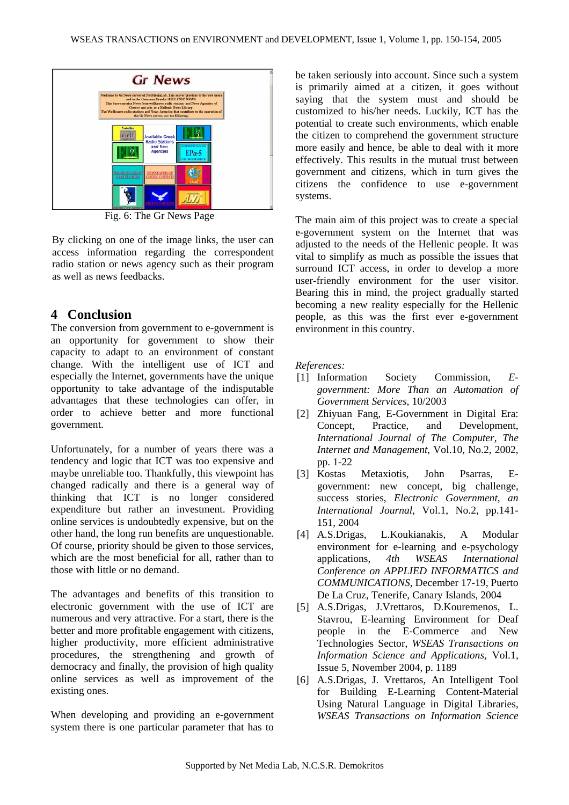

Fig. 6: The Gr News Page

By clicking on one of the image links, the user can access information regarding the correspondent radio station or news agency such as their program as well as news feedbacks.

### **4 Conclusion**

The conversion from government to e-government is an opportunity for government to show their capacity to adapt to an environment of constant change. With the intelligent use of ICT and especially the Internet, governments have the unique opportunity to take advantage of the indisputable advantages that these technologies can offer, in order to achieve better and more functional government.

Unfortunately, for a number of years there was a tendency and logic that ICT was too expensive and maybe unreliable too. Thankfully, this viewpoint has changed radically and there is a general way of thinking that ICT is no longer considered expenditure but rather an investment. Providing online services is undoubtedly expensive, but on the other hand, the long run benefits are unquestionable. Of course, priority should be given to those services, which are the most beneficial for all, rather than to those with little or no demand.

The advantages and benefits of this transition to electronic government with the use of ICT are numerous and very attractive. For a start, there is the better and more profitable engagement with citizens, higher productivity, more efficient administrative procedures, the strengthening and growth of democracy and finally, the provision of high quality online services as well as improvement of the existing ones.

When developing and providing an e-government system there is one particular parameter that has to

be taken seriously into account. Since such a system is primarily aimed at a citizen, it goes without saying that the system must and should be customized to his/her needs. Luckily, ICT has the potential to create such environments, which enable the citizen to comprehend the government structure more easily and hence, be able to deal with it more effectively. This results in the mutual trust between government and citizens, which in turn gives the citizens the confidence to use e-government systems.

The main aim of this project was to create a special e-government system on the Internet that was adjusted to the needs of the Hellenic people. It was vital to simplify as much as possible the issues that surround ICT access, in order to develop a more user-friendly environment for the user visitor. Bearing this in mind, the project gradually started becoming a new reality especially for the Hellenic people, as this was the first ever e-government environment in this country.

*References:* 

- [1] Information Society Commission, *Egovernment: More Than an Automation of Government Services*, 10/2003
- [2] Zhiyuan Fang, E-Government in Digital Era: Concept, Practice, and Development, *International Journal of The Computer, The Internet and Management*, Vol.10, No.2, 2002, pp. 1-22
- [3] Kostas Metaxiotis, John Psarras, Egovernment: new concept, big challenge, success stories, *Electronic Government, an International Journal*, Vol.1, No.2, pp.141- 151, 2004
- [4] A.S.Drigas, L.Koukianakis, A Modular environment for e-learning and e-psychology applications, *4th WSEAS International Conference on APPLIED INFORMATICS and COMMUNICATIONS*, December 17-19, Puerto De La Cruz, Tenerife, Canary Islands, 2004
- [5] A.S.Drigas, J.Vrettaros, D.Kouremenos, L. Stavrou, E-learning Environment for Deaf people in the E-Commerce and New Technologies Sector, *WSEAS Transactions on Information Science and Applications*, Vol.1, Issue 5, November 2004, p. 1189
- [6] A.S.Drigas, J. Vrettaros, An Intelligent Tool for Building E-Learning Content-Material Using Natural Language in Digital Libraries, *WSEAS Transactions on Information Science*